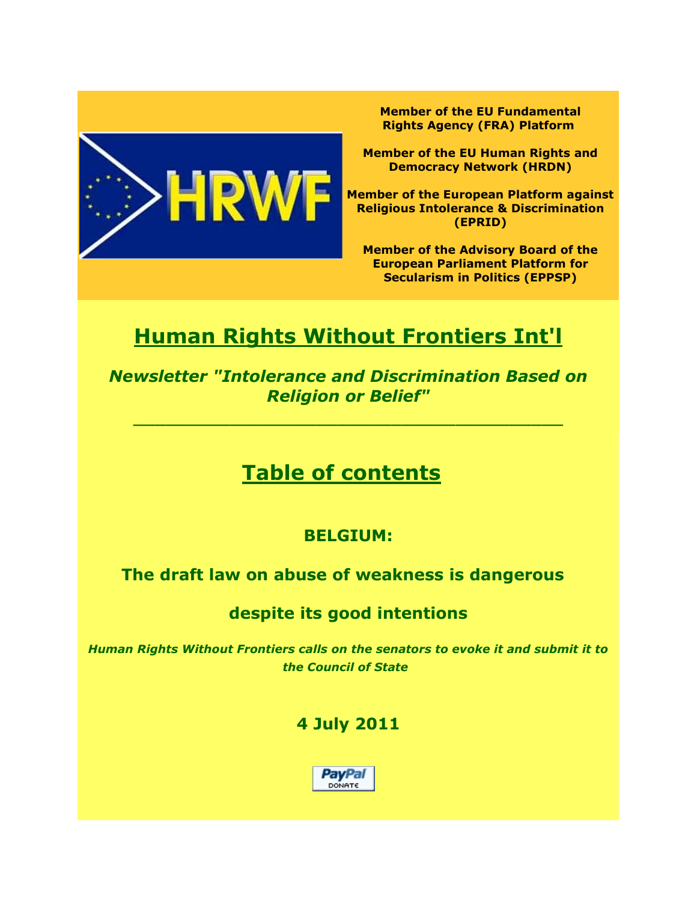

**Member of the EU Fundamental Rights Agency (FRA) Platform**

**Member of the EU Human Rights and Democracy Network (HRDN)**

**Member of the European Platform against Religious Intolerance & Discrimination (EPRID)**

**Member of the Advisory Board of the European Parliament Platform for Secularism in Politics (EPPSP)**

# **Human Rights Without Frontiers Int'l**

*Newsletter "Intolerance and Discrimination Based on Religion or Belief"*

 $\overline{\phantom{a}}$  , and the contract of the contract of the contract of the contract of the contract of the contract of the contract of the contract of the contract of the contract of the contract of the contract of the contrac

## **Table of contents**

### **BELGIUM:**

**The draft law on abuse of weakness is dangerous** 

### **despite its good intentions**

*Human Rights Without Frontiers calls on the senators to evoke it and submit it to the Council of State*

### **4 July 2011**

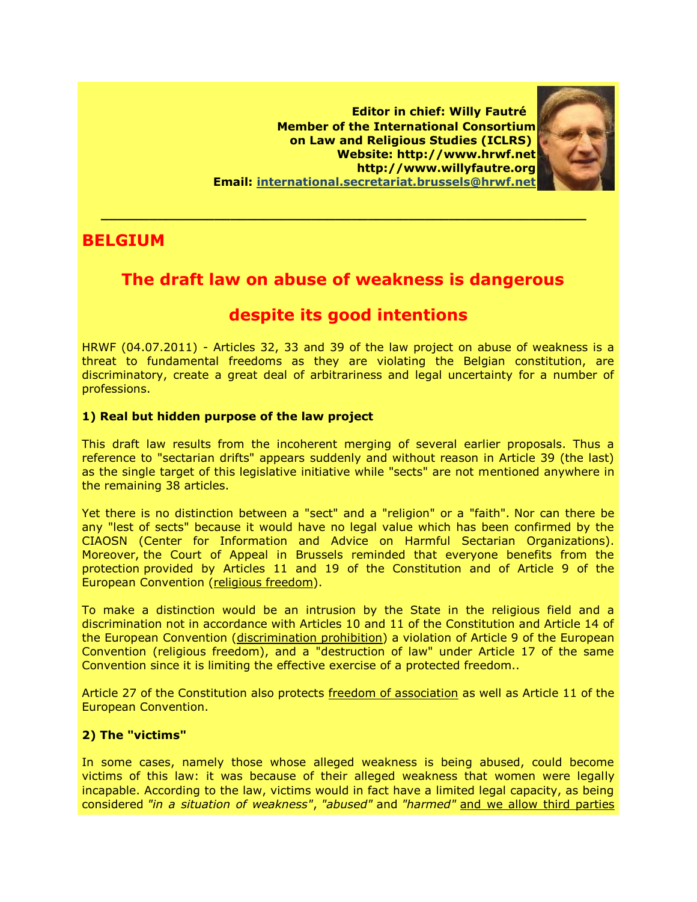**Editor in chief: Willy Fautré Member of the International Consortium on Law and Religious Studies (ICLRS) Website: http://www.hrwf.net http://www.willyfautre.org Email: [international.secretariat.brussels@hrwf.net](mailto:international.secretariat.brussels@hrwf.net)**



### **BELGIUM**

### **The draft law on abuse of weakness is dangerous**

 **\_\_\_\_\_\_\_\_\_\_\_\_\_\_\_\_\_\_\_\_\_\_\_\_\_\_\_\_\_\_\_\_\_\_\_\_\_\_\_\_\_\_\_\_\_\_\_\_\_\_\_\_\_\_\_\_\_\_\_\_**

### **despite its good intentions**

HRWF (04.07.2011) - Articles 32, 33 and 39 of the law project on abuse of weakness is a threat to fundamental freedoms as they are violating the Belgian constitution, are discriminatory, create a great deal of arbitrariness and legal uncertainty for a number of professions.

#### **1) Real but hidden purpose of the law project**

This draft law results from the incoherent merging of several earlier proposals. Thus a reference to "sectarian drifts" appears suddenly and without reason in Article 39 (the last) as the single target of this legislative initiative while "sects" are not mentioned anywhere in the remaining 38 articles.

Yet there is no distinction between a "sect" and a "religion" or a "faith". Nor can there be any "lest of sects" because it would have no legal value which has been confirmed by the CIAOSN (Center for Information and Advice on Harmful Sectarian Organizations). Moreover, the Court of Appeal in Brussels reminded that everyone benefits from the protection provided by Articles 11 and 19 of the Constitution and of Article 9 of the European Convention (religious freedom).

To make a distinction would be an intrusion by the State in the religious field and a discrimination not in accordance with Articles 10 and 11 of the Constitution and Article 14 of the European Convention (discrimination prohibition) a violation of Article 9 of the European Convention (religious freedom), and a "destruction of law" under Article 17 of the same Convention since it is limiting the effective exercise of a protected freedom..

Article 27 of the Constitution also protects freedom of association as well as Article 11 of the European Convention.

#### **2) The "victims"**

In some cases, namely those whose alleged weakness is being abused, could become victims of this law: it was because of their alleged weakness that women were legally incapable. According to the law, victims would in fact have a limited legal capacity, as being considered *"in a situation of weakness"*, *"abused"* and *"harmed"* and we allow third parties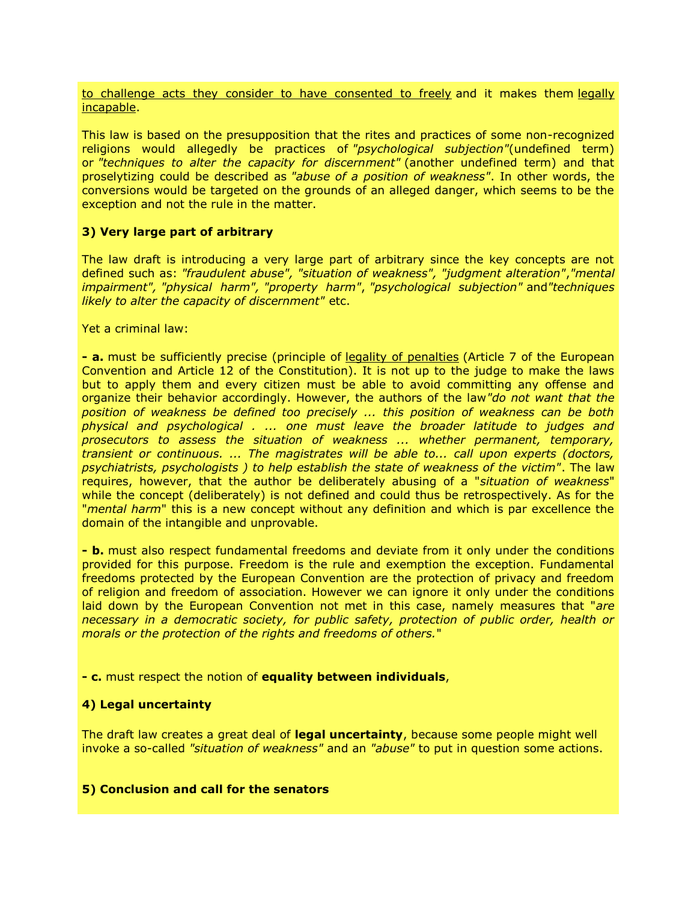to challenge acts they consider to have consented to freely and it makes them legally incapable.

This law is based on the presupposition that the rites and practices of some non-recognized religions would allegedly be practices of *"psychological subjection"*(undefined term) or *"techniques to alter the capacity for discernment"* (another undefined term) and that proselytizing could be described as *"abuse of a position of weakness"*. In other words, the conversions would be targeted on the grounds of an alleged danger, which seems to be the exception and not the rule in the matter.

#### **3) Very large part of arbitrary**

The law draft is introducing a very large part of arbitrary since the key concepts are not defined such as: *"fraudulent abuse", "situation of weakness", "judgment alteration"*,*"mental impairment", "physical harm", "property harm"*, *"psychological subjection"* and*"techniques likely to alter the capacity of discernment"* etc.

Yet a criminal law:

**- a.** must be sufficiently precise (principle of legality of penalties (Article 7 of the European Convention and Article 12 of the Constitution). It is not up to the judge to make the laws but to apply them and every citizen must be able to avoid committing any offense and organize their behavior accordingly. However, the authors of the law*"do not want that the position of weakness be defined too precisely ... this position of weakness can be both physical and psychological . ... one must leave the broader latitude to judges and prosecutors to assess the situation of weakness ... whether permanent, temporary, transient or continuous. ... The magistrates will be able to... call upon experts (doctors, psychiatrists, psychologists ) to help establish the state of weakness of the victim"*. The law requires, however, that the author be deliberately abusing of a "*situation of weakness*" while the concept (deliberately) is not defined and could thus be retrospectively. As for the "*mental harm*" this is a new concept without any definition and which is par excellence the domain of the intangible and unprovable.

**- b.** must also respect fundamental freedoms and deviate from it only under the conditions provided for this purpose. Freedom is the rule and exemption the exception. Fundamental freedoms protected by the European Convention are the protection of privacy and freedom of religion and freedom of association. However we can ignore it only under the conditions laid down by the European Convention not met in this case, namely measures that "*are necessary in a democratic society, for public safety, protection of public order, health or morals or the protection of the rights and freedoms of others.*"

**- c.** must respect the notion of **equality between individuals**,

#### **4) Legal uncertainty**

The draft law creates a great deal of **legal uncertainty**, because some people might well invoke a so-called *"situation of weakness"* and an *"abuse"* to put in question some actions.

#### **5) Conclusion and call for the senators**